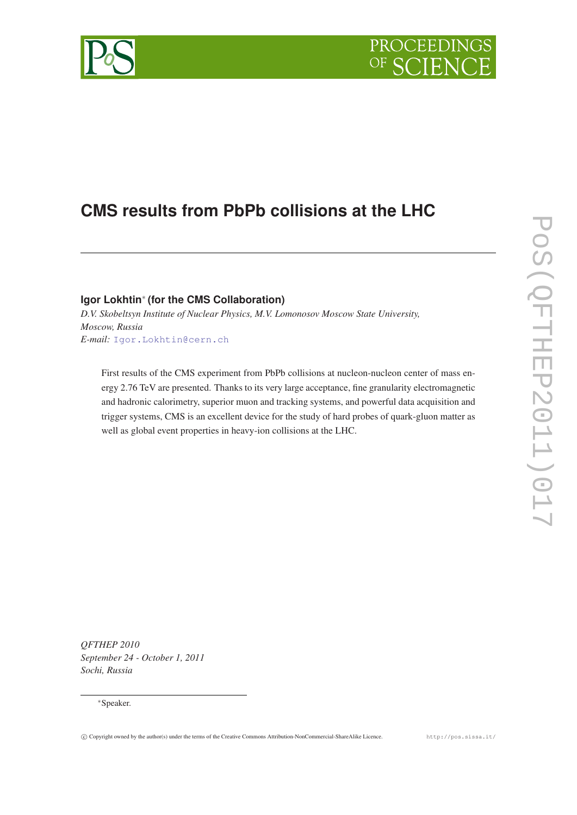

# **CMS results from PbPb collisions at the LHC**

## **Igor Lokhtin**<sup>∗</sup> **(for the CMS Collaboration)**

*D.V. Skobeltsyn Institute of Nuclear Physics, M.V. Lomonosov Moscow State University, Moscow, Russia E-mail:* [Igor.Lokhtin@cern.ch](mailto:Igor.Lokhtin@cern.ch)

First results of the CMS experiment from PbPb collisions at nucleon-nucleon center of mass energy 2.76 TeV are presented. Thanks to its very large acceptance, fine granularity electromagnetic and hadronic calorimetry, superior muon and tracking systems, and powerful data acquisition and trigger systems, CMS is an excellent device for the study of hard probes of quark-gluon matter as well as global event properties in heavy-ion collisions at the LHC.

*QFTHEP 2010 September 24 - October 1, 2011 Sochi, Russia*

#### <sup>∗</sup>Speaker.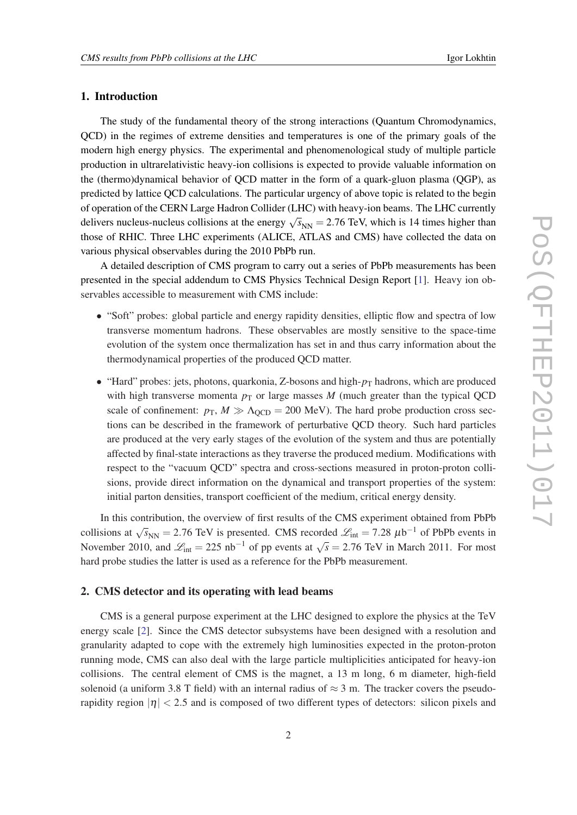#### 1. Introduction

The study of the fundamental theory of the strong interactions (Quantum Chromodynamics, QCD) in the regimes of extreme densities and temperatures is one of the primary goals of the modern high energy physics. The experimental and phenomenological study of multiple particle production in ultrarelativistic heavy-ion collisions is expected to provide valuable information on the (thermo)dynamical behavior of QCD matter in the form of a quark-gluon plasma (QGP), as predicted by lattice QCD calculations. The particular urgency of above topic is related to the begin of operation of the CERN Large Hadron Collider (LHC) with heavy-ion beams. The LHC currently delivers nucleus-nucleus collisions at the energy  $\sqrt{s_{NN}} = 2.76$  TeV, which is 14 times higher than those of RHIC. Three LHC experiments (ALICE, ATLAS and CMS) have collected the data on various physical observables during the 2010 PbPb run.

A detailed description of CMS program to carry out a series of PbPb measurements has been presented in the special addendum to CMS Physics Technical Design Report [\[1\]](#page-14-0). Heavy ion observables accessible to measurement with CMS include:

- "Soft" probes: global particle and energy rapidity densities, elliptic flow and spectra of low transverse momentum hadrons. These observables are mostly sensitive to the space-time evolution of the system once thermalization has set in and thus carry information about the thermodynamical properties of the produced QCD matter.
- "Hard" probes: jets, photons, quarkonia, Z-bosons and high- $p_T$  hadrons, which are produced with high transverse momenta  $p_T$  or large masses  $M$  (much greater than the typical QCD scale of confinement:  $p_T$ ,  $M \gg \Lambda_{\text{OCD}} = 200 \text{ MeV}$ ). The hard probe production cross sections can be described in the framework of perturbative QCD theory. Such hard particles are produced at the very early stages of the evolution of the system and thus are potentially affected by final-state interactions as they traverse the produced medium. Modifications with respect to the "vacuum QCD" spectra and cross-sections measured in proton-proton collisions, provide direct information on the dynamical and transport properties of the system: initial parton densities, transport coefficient of the medium, critical energy density.

In this contribution, the overview of first results of the CMS experiment obtained from PbPb collisions at  $\sqrt{s_{NN}}$  = 2.76 TeV is presented. CMS recorded  $\mathcal{L}_{int}$  = 7.28  $\mu$ b<sup>-1</sup> of PbPb events in November 2010, and  $\mathcal{L}_{int} = 225 \text{ nb}^{-1}$  of pp events at  $\sqrt{s} = 2.76 \text{ TeV}$  in March 2011. For most hard probe studies the latter is used as a reference for the PbPb measurement.

#### 2. CMS detector and its operating with lead beams

CMS is a general purpose experiment at the LHC designed to explore the physics at the TeV energy scale [[2\]](#page-14-0). Since the CMS detector subsystems have been designed with a resolution and granularity adapted to cope with the extremely high luminosities expected in the proton-proton running mode, CMS can also deal with the large particle multiplicities anticipated for heavy-ion collisions. The central element of CMS is the magnet, a 13 m long, 6 m diameter, high-field solenoid (a uniform 3.8 T field) with an internal radius of  $\approx$  3 m. The tracker covers the pseudorapidity region  $|\eta| < 2.5$  and is composed of two different types of detectors: silicon pixels and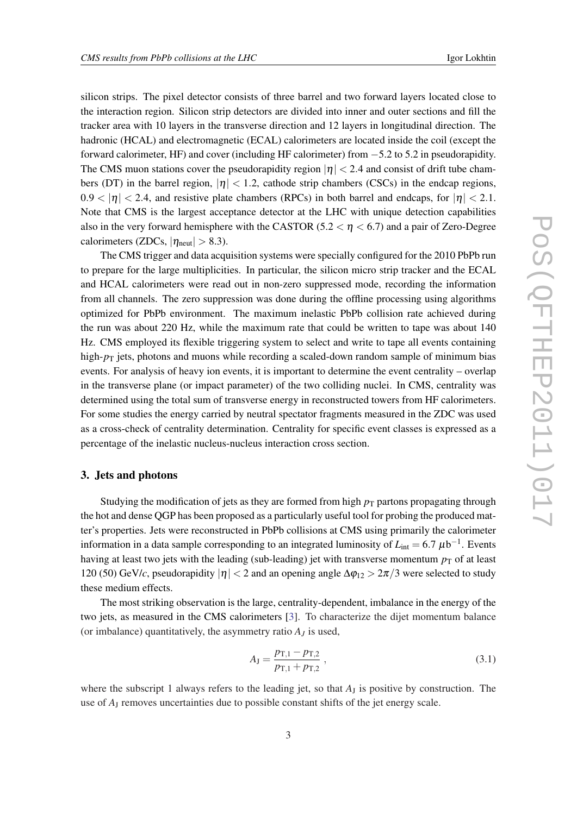silicon strips. The pixel detector consists of three barrel and two forward layers located close to the interaction region. Silicon strip detectors are divided into inner and outer sections and fill the tracker area with 10 layers in the transverse direction and 12 layers in longitudinal direction. The hadronic (HCAL) and electromagnetic (ECAL) calorimeters are located inside the coil (except the forward calorimeter, HF) and cover (including HF calorimeter) from −5.2 to 5.2 in pseudorapidity. The CMS muon stations cover the pseudorapidity region  $|\eta| < 2.4$  and consist of drift tube chambers (DT) in the barrel region,  $|\eta| < 1.2$ , cathode strip chambers (CSCs) in the endcap regions,  $0.9 < |\eta| < 2.4$ , and resistive plate chambers (RPCs) in both barrel and endcaps, for  $|\eta| < 2.1$ . Note that CMS is the largest acceptance detector at the LHC with unique detection capabilities also in the very forward hemisphere with the CASTOR (5.2  $\lt \eta \lt 6.7$ ) and a pair of Zero-Degree calorimeters (ZDCs,  $|\eta_{neut}| > 8.3$ ).

The CMS trigger and data acquisition systems were specially configured for the 2010 PbPb run to prepare for the large multiplicities. In particular, the silicon micro strip tracker and the ECAL and HCAL calorimeters were read out in non-zero suppressed mode, recording the information from all channels. The zero suppression was done during the offline processing using algorithms optimized for PbPb environment. The maximum inelastic PbPb collision rate achieved during the run was about 220 Hz, while the maximum rate that could be written to tape was about 140 Hz. CMS employed its flexible triggering system to select and write to tape all events containing high- $p<sub>T</sub>$  jets, photons and muons while recording a scaled-down random sample of minimum bias events. For analysis of heavy ion events, it is important to determine the event centrality – overlap in the transverse plane (or impact parameter) of the two colliding nuclei. In CMS, centrality was determined using the total sum of transverse energy in reconstructed towers from HF calorimeters. For some studies the energy carried by neutral spectator fragments measured in the ZDC was used as a cross-check of centrality determination. Centrality for specific event classes is expressed as a percentage of the inelastic nucleus-nucleus interaction cross section.

#### 3. Jets and photons

Studying the modification of jets as they are formed from high  $p<sub>T</sub>$  partons propagating through the hot and dense QGP has been proposed as a particularly useful tool for probing the produced matter's properties. Jets were reconstructed in PbPb collisions at CMS using primarily the calorimeter information in a data sample corresponding to an integrated luminosity of  $L_{int} = 6.7 \ \mu b^{-1}$ . Events having at least two jets with the leading (sub-leading) jet with transverse momentum  $p<sub>T</sub>$  of at least 120 (50) GeV/*c*, pseudorapidity  $|\eta| < 2$  and an opening angle  $\Delta \varphi_{12} > 2\pi/3$  were selected to study these medium effects.

The most striking observation is the large, centrality-dependent, imbalance in the energy of the two jets, as measured in the CMS calorimeters [\[3\]](#page-14-0). To characterize the dijet momentum balance (or imbalance) quantitatively, the asymmetry ratio  $A_J$  is used,

$$
A_{J} = \frac{p_{T,1} - p_{T,2}}{p_{T,1} + p_{T,2}}\,,\tag{3.1}
$$

where the subscript 1 always refers to the leading jet, so that  $A_J$  is positive by construction. The use of *A*<sup>J</sup> removes uncertainties due to possible constant shifts of the jet energy scale.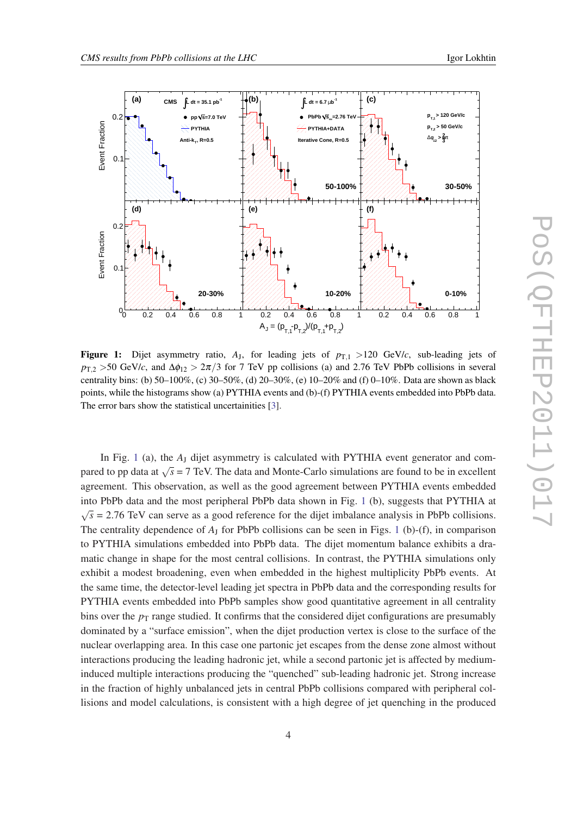

**Figure 1:** Dijet asymmetry ratio,  $A_J$ , for leading jets of  $p_{T,1} > 120$  GeV/*c*, sub-leading jets of  $p_{T,2} > 50$  GeV/*c*, and  $\Delta \phi_{12} > 2\pi/3$  for 7 TeV pp collisions (a) and 2.76 TeV PbPb collisions in several centrality bins: (b) 50–100%, (c) 30–50%, (d) 20–30%, (e) 10–20% and (f) 0–10%. Data are shown as black points, while the histograms show (a) PYTHIA events and (b)-(f) PYTHIA events embedded into PbPb data. The error bars show the statistical uncertainities [[3\]](#page-14-0).

In Fig. 1 (a), the  $A_J$  dijet asymmetry is calculated with PYTHIA event generator and compared to pp data at  $\sqrt{s}$  = 7 TeV. The data and Monte-Carlo simulations are found to be in excellent agreement. This observation, as well as the good agreement between PYTHIA events embedded into PbPb data and the most peripheral PbPb data shown in Fig. 1 (b), suggests that PYTHIA at √  $\overline{s}$  = 2.76 TeV can serve as a good reference for the dijet imbalance analysis in PbPb collisions. The centrality dependence of  $A<sub>J</sub>$  for PbPb collisions can be seen in Figs. 1 (b)-(f), in comparison to PYTHIA simulations embedded into PbPb data. The dijet momentum balance exhibits a dramatic change in shape for the most central collisions. In contrast, the PYTHIA simulations only exhibit a modest broadening, even when embedded in the highest multiplicity PbPb events. At the same time, the detector-level leading jet spectra in PbPb data and the corresponding results for PYTHIA events embedded into PbPb samples show good quantitative agreement in all centrality bins over the  $p<sub>T</sub>$  range studied. It confirms that the considered dijet configurations are presumably dominated by a "surface emission", when the dijet production vertex is close to the surface of the nuclear overlapping area. In this case one partonic jet escapes from the dense zone almost without interactions producing the leading hadronic jet, while a second partonic jet is affected by mediuminduced multiple interactions producing the "quenched" sub-leading hadronic jet. Strong increase in the fraction of highly unbalanced jets in central PbPb collisions compared with peripheral collisions and model calculations, is consistent with a high degree of jet quenching in the produced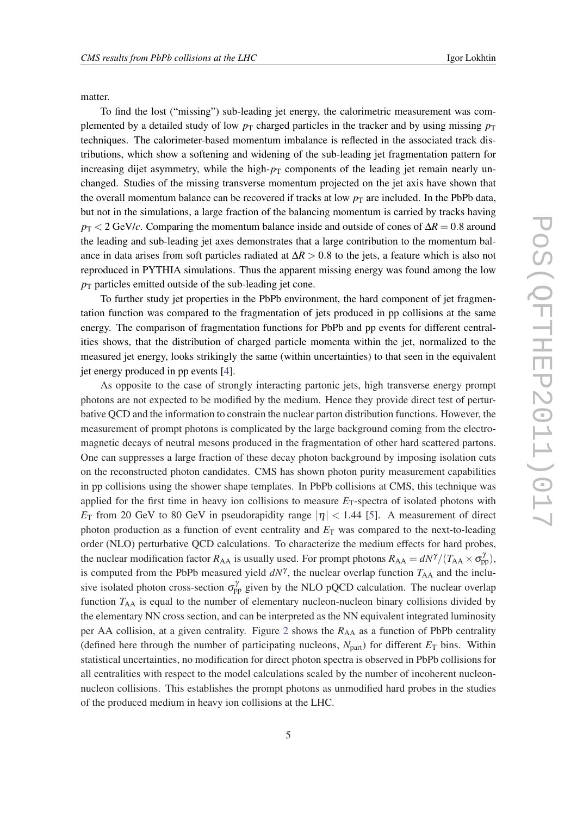matter.

To find the lost ("missing") sub-leading jet energy, the calorimetric measurement was complemented by a detailed study of low  $p<sub>T</sub>$  charged particles in the tracker and by using missing  $p<sub>T</sub>$ techniques. The calorimeter-based momentum imbalance is reflected in the associated track distributions, which show a softening and widening of the sub-leading jet fragmentation pattern for increasing dijet asymmetry, while the high- $p<sub>T</sub>$  components of the leading jet remain nearly unchanged. Studies of the missing transverse momentum projected on the jet axis have shown that the overall momentum balance can be recovered if tracks at low  $p<sub>T</sub>$  are included. In the PbPb data, but not in the simulations, a large fraction of the balancing momentum is carried by tracks having  $p_T < 2$  GeV/*c*. Comparing the momentum balance inside and outside of cones of  $\Delta R = 0.8$  around the leading and sub-leading jet axes demonstrates that a large contribution to the momentum balance in data arises from soft particles radiated at ∆*R* > 0.8 to the jets, a feature which is also not reproduced in PYTHIA simulations. Thus the apparent missing energy was found among the low  $p_T$  particles emitted outside of the sub-leading jet cone.

To further study jet properties in the PbPb environment, the hard component of jet fragmentation function was compared to the fragmentation of jets produced in pp collisions at the same energy. The comparison of fragmentation functions for PbPb and pp events for different centralities shows, that the distribution of charged particle momenta within the jet, normalized to the measured jet energy, looks strikingly the same (within uncertainties) to that seen in the equivalent jet energy produced in pp events [\[4\]](#page-14-0).

As opposite to the case of strongly interacting partonic jets, high transverse energy prompt photons are not expected to be modified by the medium. Hence they provide direct test of perturbative QCD and the information to constrain the nuclear parton distribution functions. However, the measurement of prompt photons is complicated by the large background coming from the electromagnetic decays of neutral mesons produced in the fragmentation of other hard scattered partons. One can suppresses a large fraction of these decay photon background by imposing isolation cuts on the reconstructed photon candidates. CMS has shown photon purity measurement capabilities in pp collisions using the shower shape templates. In PbPb collisions at CMS, this technique was applied for the first time in heavy ion collisions to measure  $E_T$ -spectra of isolated photons with *E*<sub>T</sub> from 20 GeV to 80 GeV in pseudorapidity range  $|\eta|$  < 1.44 [[5](#page-14-0)]. A measurement of direct photon production as a function of event centrality and  $E<sub>T</sub>$  was compared to the next-to-leading order (NLO) perturbative QCD calculations. To characterize the medium effects for hard probes, the nuclear modification factor  $R_{AA}$  is usually used. For prompt photons  $R_{AA} = dN^{\gamma}/(T_{AA} \times \sigma_{pp}^{\gamma})$ , is computed from the PbPb measured yield  $dN^{\gamma}$ , the nuclear overlap function  $T_{AA}$  and the inclusive isolated photon cross-section  $\sigma_{\rm pp}^{\gamma}$  given by the NLO pQCD calculation. The nuclear overlap function  $T_{AA}$  is equal to the number of elementary nucleon-nucleon binary collisions divided by the elementary NN cross section, and can be interpreted as the NN equivalent integrated luminosity per AA collision, at a given centrality. Figure [2](#page-5-0) shows the  $R_{AA}$  as a function of PbPb centrality (defined here through the number of participating nucleons,  $N_{part}$ ) for different  $E_T$  bins. Within statistical uncertainties, no modification for direct photon spectra is observed in PbPb collisions for all centralities with respect to the model calculations scaled by the number of incoherent nucleonnucleon collisions. This establishes the prompt photons as unmodified hard probes in the studies of the produced medium in heavy ion collisions at the LHC.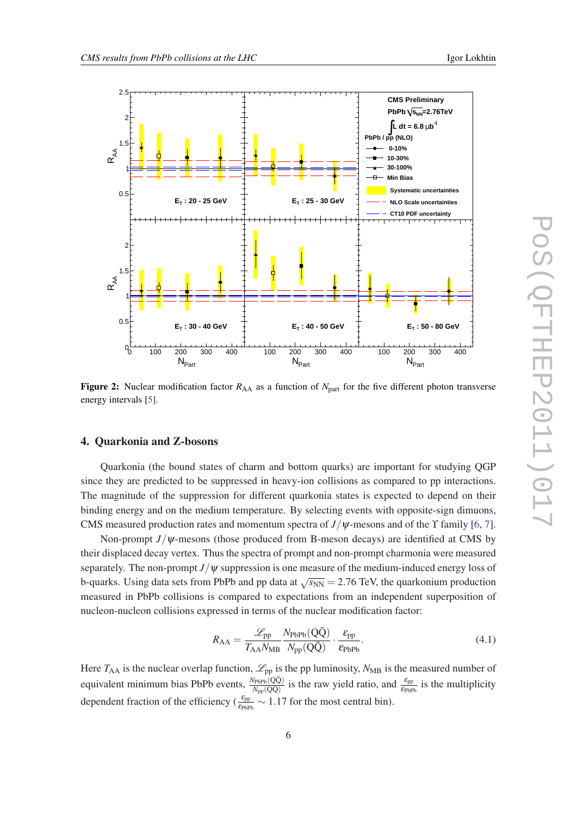<span id="page-5-0"></span>

Figure 2: Nuclear modification factor  $R_{AA}$  as a function of  $N_{part}$  for the five different photon transverse energy intervals [[5\]](#page-14-0).

#### 4. Quarkonia and Z-bosons

Quarkonia (the bound states of charm and bottom quarks) are important for studying QGP since they are predicted to be suppressed in heavy-ion collisions as compared to pp interactions. The magnitude of the suppression for different quarkonia states is expected to depend on their binding energy and on the medium temperature. By selecting events with opposite-sign dimuons, CMS measured production rates and momentum spectra of  $J/\psi$ -mesons and of the  $\Upsilon$  family [\[6,](#page-14-0) [7\]](#page-14-0).

Non-prompt *J*/ψ-mesons (those produced from B-meson decays) are identified at CMS by their displaced decay vertex. Thus the spectra of prompt and non-prompt charmonia were measured separately. The non-prompt  $J/\psi$  suppression is one measure of the medium-induced energy loss of b-quarks. Using data sets from PbPb and pp data at  $\sqrt{s_{NN}} = 2.76$  TeV, the quarkonium production measured in PbPb collisions is compared to expectations from an independent superposition of nucleon-nucleon collisions expressed in terms of the nuclear modification factor:

$$
R_{AA} = \frac{\mathcal{L}_{\text{pp}}}{T_{AA} N_{\text{MB}}} \frac{N_{\text{PbPb}}(Q\bar{Q})}{N_{\text{pp}}(Q\bar{Q})} \cdot \frac{\varepsilon_{\text{pp}}}{\varepsilon_{\text{PbPb}}}.
$$
(4.1)

Here  $T_{AA}$  is the nuclear overlap function,  $\mathcal{L}_{pp}$  is the pp luminosity,  $N_{MB}$  is the measured number of equivalent minimum bias PbPb events,  $\frac{N_{\text{PbPb}}(Q\bar{Q})}{N_{\text{pp}}(Q\bar{Q})}$  is the raw yield ratio, and  $\frac{\varepsilon_{\text{PPb}}}{\varepsilon_{\text{PbPb}}}$  is the multiplicity dependent fraction of the efficiency ( $\frac{\epsilon_{\text{pp}}}{\epsilon_{\text{ppbp}}} \sim 1.17$  for the most central bin).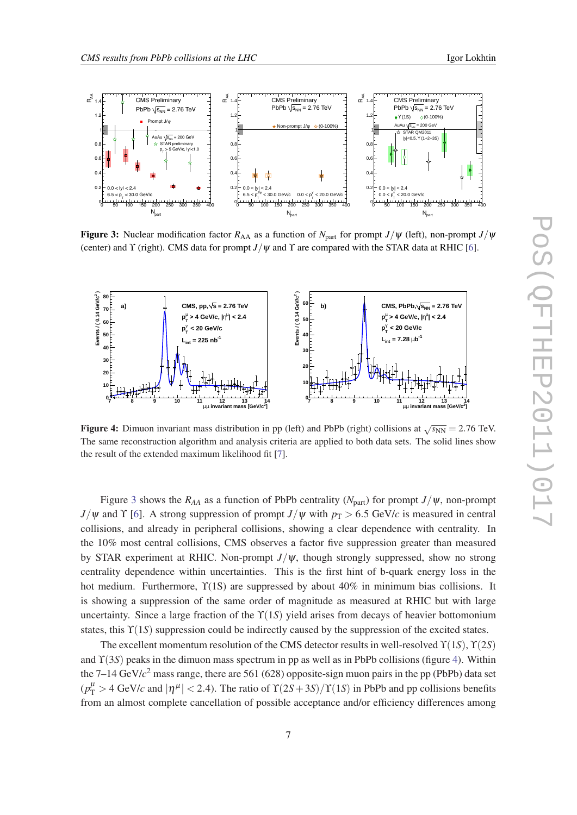

**Figure 3:** Nuclear modification factor  $R_{AA}$  as a function of  $N_{part}$  for prompt  $J/\psi$  (left), non-prompt  $J/\psi$ (center) and  $\Upsilon$  (right). CMS data for prompt  $J/\psi$  and  $\Upsilon$  are compared with the STAR data at RHIC [[6\]](#page-14-0).



**Figure 4:** Dimuon invariant mass distribution in pp (left) and PbPb (right) collisions at  $\sqrt{s_{NN}} = 2.76$  TeV. The same reconstruction algorithm and analysis criteria are applied to both data sets. The solid lines show the result of the extended maximum likelihood fit [\[7](#page-14-0)].

Figure 3 shows the  $R_{AA}$  as a function of PbPb centrality ( $N_{part}$ ) for prompt  $J/\psi$ , non-prompt  $J/\psi$  and  $\Upsilon$  [[6](#page-14-0)]. A strong suppression of prompt  $J/\psi$  with  $p_T > 6.5$  GeV/*c* is measured in central collisions, and already in peripheral collisions, showing a clear dependence with centrality. In the 10% most central collisions, CMS observes a factor five suppression greater than measured by STAR experiment at RHIC. Non-prompt *J*/ψ, though strongly suppressed, show no strong centrality dependence within uncertainties. This is the first hint of b-quark energy loss in the hot medium. Furthermore,  $\Upsilon(1S)$  are suppressed by about 40% in minimum bias collisions. It is showing a suppression of the same order of magnitude as measured at RHIC but with large uncertainty. Since a large fraction of the ϒ(1*S*) yield arises from decays of heavier bottomonium states, this ϒ(1*S*) suppression could be indirectly caused by the suppression of the excited states.

The excellent momentum resolution of the CMS detector results in well-resolved ϒ(1*S*), ϒ(2*S*) and ϒ(3*S*) peaks in the dimuon mass spectrum in pp as well as in PbPb collisions (figure 4). Within the 7–14 GeV/*c* <sup>2</sup> mass range, there are 561 (628) opposite-sign muon pairs in the pp (PbPb) data set  $(p_T^{\mu} > 4 \text{ GeV}/c \text{ and } |\eta^{\mu}| < 2.4$ ). The ratio of  $\Upsilon(2S+3S)/\Upsilon(1S)$  in PbPb and pp collisions benefits from an almost complete cancellation of possible acceptance and/or efficiency differences among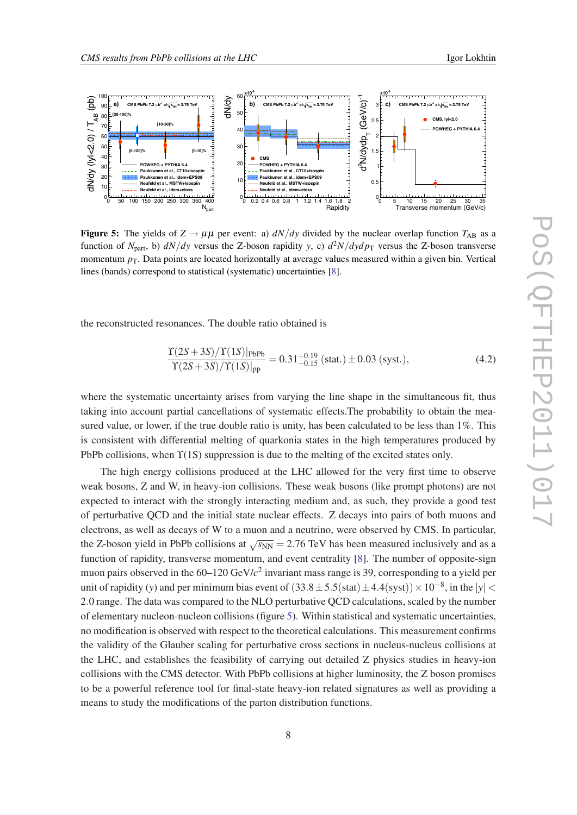

**Figure 5:** The yields of  $Z \rightarrow \mu\mu$  per event: a) *dN*/*dy* divided by the nuclear overlap function  $T_{AB}$  as a function of  $N_{\text{part}}$ , b)  $dN/dy$  versus the Z-boson rapidity *y*, c)  $d^2N/dydp_T$  versus the Z-boson transverse momentum  $p_T$ . Data points are located horizontally at average values measured within a given bin. Vertical lines (bands) correspond to statistical (systematic) uncertainties [\[8](#page-14-0)].

the reconstructed resonances. The double ratio obtained is

$$
\frac{\Upsilon(2S+3S)/\Upsilon(1S)|_{\text{PbPb}}}{\Upsilon(2S+3S)/\Upsilon(1S)|_{\text{pp}}} = 0.31^{+0.19}_{-0.15} \text{ (stat.)} \pm 0.03 \text{ (syst.)},\tag{4.2}
$$

where the systematic uncertainty arises from varying the line shape in the simultaneous fit, thus taking into account partial cancellations of systematic effects.The probability to obtain the measured value, or lower, if the true double ratio is unity, has been calculated to be less than 1%. This is consistent with differential melting of quarkonia states in the high temperatures produced by PbPb collisions, when ϒ(1S) suppression is due to the melting of the excited states only.

The high energy collisions produced at the LHC allowed for the very first time to observe weak bosons, Z and W, in heavy-ion collisions. These weak bosons (like prompt photons) are not expected to interact with the strongly interacting medium and, as such, they provide a good test of perturbative QCD and the initial state nuclear effects. Z decays into pairs of both muons and electrons, as well as decays of W to a muon and a neutrino, were observed by CMS. In particular, the Z-boson yield in PbPb collisions at  $\sqrt{s_{NN}}$  = 2.76 TeV has been measured inclusively and as a function of rapidity, transverse momentum, and event centrality [[8](#page-14-0)]. The number of opposite-sign muon pairs observed in the 60–120 GeV/*c* 2 invariant mass range is 39, corresponding to a yield per unit of rapidity (*y*) and per minimum bias event of  $(33.8 \pm 5.5(\text{stat}) \pm 4.4(\text{syst})) \times 10^{-8}$ , in the  $|y|$ 2.0 range. The data was compared to the NLO perturbative QCD calculations, scaled by the number of elementary nucleon-nucleon collisions (figure 5). Within statistical and systematic uncertainties, no modification is observed with respect to the theoretical calculations. This measurement confirms the validity of the Glauber scaling for perturbative cross sections in nucleus-nucleus collisions at the LHC, and establishes the feasibility of carrying out detailed Z physics studies in heavy-ion collisions with the CMS detector. With PbPb collisions at higher luminosity, the Z boson promises to be a powerful reference tool for final-state heavy-ion related signatures as well as providing a means to study the modifications of the parton distribution functions.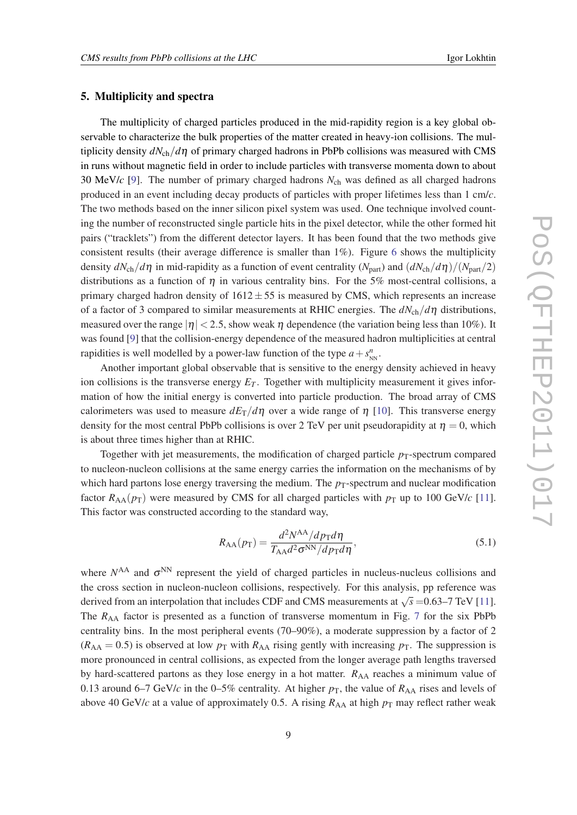#### 5. Multiplicity and spectra

The multiplicity of charged particles produced in the mid-rapidity region is a key global observable to characterize the bulk properties of the matter created in heavy-ion collisions. The multiplicity density  $dN_{\rm ch}/d\eta$  of primary charged hadrons in PbPb collisions was measured with CMS in runs without magnetic field in order to include particles with transverse momenta down to about 30 MeV/*c* [\[9\]](#page-14-0). The number of primary charged hadrons *N*ch was defined as all charged hadrons produced in an event including decay products of particles with proper lifetimes less than 1 cm/*c*. The two methods based on the inner silicon pixel system was used. One technique involved counting the number of reconstructed single particle hits in the pixel detector, while the other formed hit pairs ("tracklets") from the different detector layers. It has been found that the two methods give consistent results (their average difference is smaller than  $1\%$ ). Figure [6](#page-9-0) shows the multiplicity density  $dN_{\rm ch}/d\eta$  in mid-rapidity as a function of event centrality  $(N_{\rm part})$  and  $(dN_{\rm ch}/d\eta)/(N_{\rm part}/2)$ distributions as a function of  $\eta$  in various centrality bins. For the 5% most-central collisions, a primary charged hadron density of  $1612 \pm 55$  is measured by CMS, which represents an increase of a factor of 3 compared to similar measurements at RHIC energies. The *dN*ch/*d*η distributions, measured over the range  $|\eta| < 2.5$ , show weak  $\eta$  dependence (the variation being less than 10%). It was found [\[9\]](#page-14-0) that the collision-energy dependence of the measured hadron multiplicities at central rapidities is well modelled by a power-law function of the type  $a + s_{NN}^n$ .

Another important global observable that is sensitive to the energy density achieved in heavy ion collisions is the transverse energy  $E_T$ . Together with multiplicity measurement it gives information of how the initial energy is converted into particle production. The broad array of CMS calorimeters was used to measure  $dE_T/d\eta$  over a wide range of  $\eta$  [[10](#page-14-0)]. This transverse energy density for the most central PbPb collisions is over 2 TeV per unit pseudorapidity at  $\eta = 0$ , which is about three times higher than at RHIC.

Together with jet measurements, the modification of charged particle  $p_T$ -spectrum compared to nucleon-nucleon collisions at the same energy carries the information on the mechanisms of by which hard partons lose energy traversing the medium. The  $p_T$ -spectrum and nuclear modification factor  $R_{AA}(p_T)$  were measured by CMS for all charged particles with  $p_T$  up to 100 GeV/*c* [[11\]](#page-14-0). This factor was constructed according to the standard way,

$$
R_{\rm AA}(p_{\rm T}) = \frac{d^2 N^{\rm AA}/dp_{\rm T} d\eta}{T_{\rm AA} d^2 \sigma^{\rm NN}/dp_{\rm T} d\eta},\tag{5.1}
$$

where  $N^{AA}$  and  $\sigma^{NN}$  represent the yield of charged particles in nucleus-nucleus collisions and the cross section in nucleon-nucleon collisions, respectively. For this analysis, pp reference was derived from an interpolation that includes CDF and CMS measurements at  $\sqrt{s} = 0.63-7$  TeV [[11\]](#page-14-0). The R<sub>AA</sub> factor is presented as a function of transverse momentum in Fig. [7](#page-9-0) for the six PbPb centrality bins. In the most peripheral events (70–90%), a moderate suppression by a factor of 2  $(R_{AA} = 0.5)$  is observed at low  $p_T$  with  $R_{AA}$  rising gently with increasing  $p_T$ . The suppression is more pronounced in central collisions, as expected from the longer average path lengths traversed by hard-scattered partons as they lose energy in a hot matter.  $R_{AA}$  reaches a minimum value of 0.13 around 6–7 GeV/*c* in the 0–5% centrality. At higher  $p<sub>T</sub>$ , the value of  $R<sub>AA</sub>$  rises and levels of above 40 GeV/ $c$  at a value of approximately 0.5. A rising  $R_{AA}$  at high  $p<sub>T</sub>$  may reflect rather weak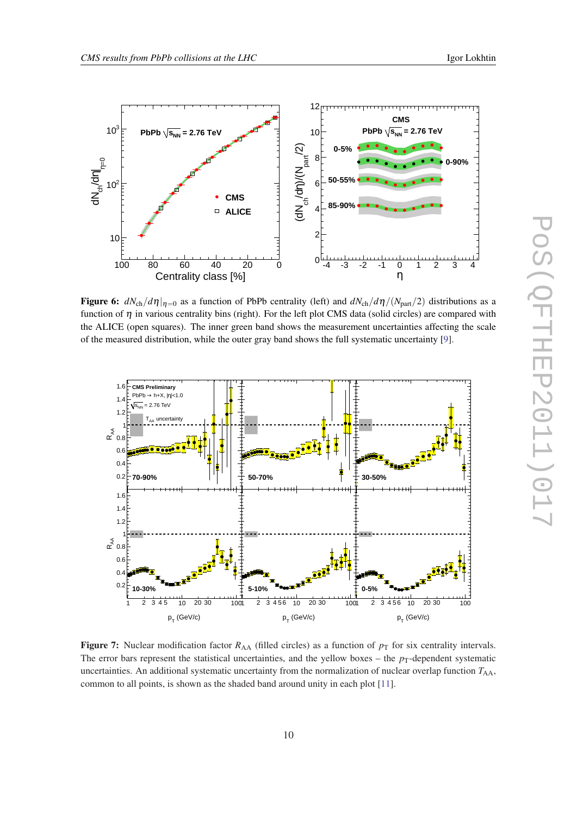<span id="page-9-0"></span>

Figure 6:  $dN_{ch}/d\eta|_{\eta=0}$  as a function of PbPb centrality (left) and  $dN_{ch}/d\eta/(N_{part}/2)$  distributions as a function of  $\eta$  in various centrality bins (right). For the left plot CMS data (solid circles) are compared with the ALICE (open squares). The inner green band shows the measurement uncertainties affecting the scale of the measured distribution, while the outer gray band shows the full systematic uncertainty [[9\]](#page-14-0).



Figure 7: Nuclear modification factor  $R_{AA}$  (filled circles) as a function of  $p_T$  for six centrality intervals. The error bars represent the statistical uncertainties, and the yellow boxes – the  $p<sub>T</sub>$ -dependent systematic uncertainties. An additional systematic uncertainty from the normalization of nuclear overlap function  $T_{AA}$ , common to all points, is shown as the shaded band around unity in each plot [\[11\]](#page-14-0).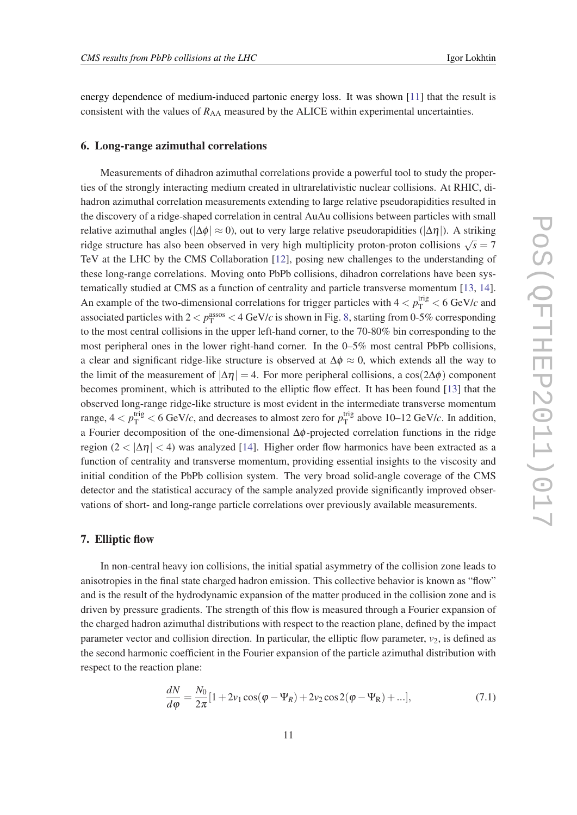energy dependence of medium-induced partonic energy loss. It was shown [[11\]](#page-14-0) that the result is consistent with the values of  $R_{AA}$  measured by the ALICE within experimental uncertainties.

#### 6. Long-range azimuthal correlations

Measurements of dihadron azimuthal correlations provide a powerful tool to study the properties of the strongly interacting medium created in ultrarelativistic nuclear collisions. At RHIC, dihadron azimuthal correlation measurements extending to large relative pseudorapidities resulted in the discovery of a ridge-shaped correlation in central AuAu collisions between particles with small relative azimuthal angles ( $|\Delta \phi| \approx 0$ ), out to very large relative pseudorapidities ( $|\Delta \eta|$ ). A striking ridge structure has also been observed in very high multiplicity proton-proton collisions  $\sqrt{s} = 7$ TeV at the LHC by the CMS Collaboration [\[12\]](#page-14-0), posing new challenges to the understanding of these long-range correlations. Moving onto PbPb collisions, dihadron correlations have been systematically studied at CMS as a function of centrality and particle transverse momentum [\[13](#page-14-0), [14\]](#page-14-0). An example of the two-dimensional correlations for trigger particles with  $4 < p_T^{\text{trig}} < 6 \text{ GeV}/c$  and associated particles with  $2 < p_{\rm T}^{\rm assoc} < 4 \ {\rm GeV}/c$  is shown in Fig. [8,](#page-11-0) starting from 0-5% corresponding to the most central collisions in the upper left-hand corner, to the 70-80% bin corresponding to the most peripheral ones in the lower right-hand corner. In the 0–5% most central PbPb collisions, a clear and significant ridge-like structure is observed at  $\Delta \phi \approx 0$ , which extends all the way to the limit of the measurement of  $|\Delta \eta| = 4$ . For more peripheral collisions, a cos(2 $\Delta \phi$ ) component becomes prominent, which is attributed to the elliptic flow effect. It has been found [\[13](#page-14-0)] that the observed long-range ridge-like structure is most evident in the intermediate transverse momentum range,  $4 < p_{\rm T}^{\rm trig} < 6$  GeV/*c*, and decreases to almost zero for  $p_{\rm T}^{\rm trig}$  $_{\text{T}}^{\text{trg}}$  above 10–12 GeV/*c*. In addition, a Fourier decomposition of the one-dimensional ∆φ-projected correlation functions in the ridge region (2 <  $|\Delta \eta|$  < 4) was analyzed [\[14](#page-14-0)]. Higher order flow harmonics have been extracted as a function of centrality and transverse momentum, providing essential insights to the viscosity and initial condition of the PbPb collision system. The very broad solid-angle coverage of the CMS detector and the statistical accuracy of the sample analyzed provide significantly improved observations of short- and long-range particle correlations over previously available measurements.

#### 7. Elliptic flow

In non-central heavy ion collisions, the initial spatial asymmetry of the collision zone leads to anisotropies in the final state charged hadron emission. This collective behavior is known as "flow" and is the result of the hydrodynamic expansion of the matter produced in the collision zone and is driven by pressure gradients. The strength of this flow is measured through a Fourier expansion of the charged hadron azimuthal distributions with respect to the reaction plane, defined by the impact parameter vector and collision direction. In particular, the elliptic flow parameter,  $v_2$ , is defined as the second harmonic coefficient in the Fourier expansion of the particle azimuthal distribution with respect to the reaction plane:

$$
\frac{dN}{d\varphi} = \frac{N_0}{2\pi} [1 + 2v_1 \cos(\varphi - \Psi_R) + 2v_2 \cos 2(\varphi - \Psi_R) + \ldots],\tag{7.1}
$$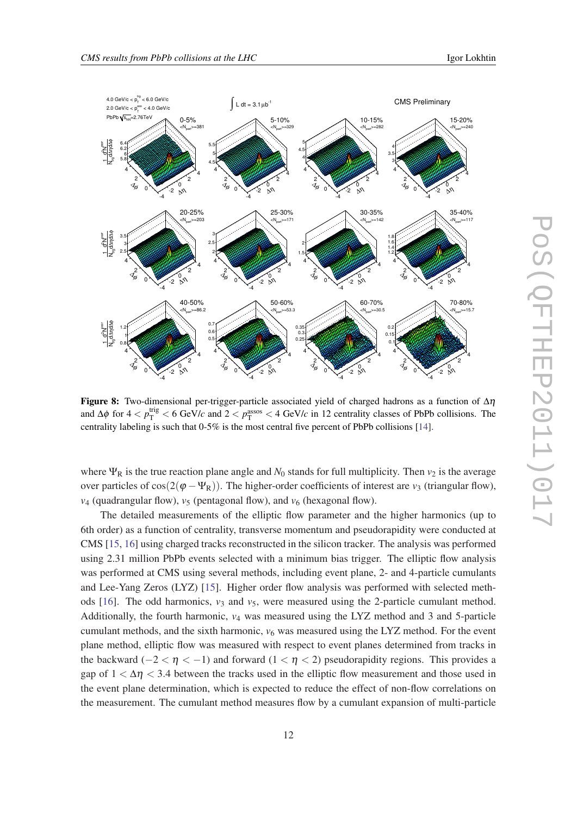

<span id="page-11-0"></span>

**Figure 8:** Two-dimensional per-trigger-particle associated yield of charged hadrons as a function of  $\Delta \eta$ and  $\Delta\phi$  for  $4 < p_{\rm T}^{\rm trig} < 6$  GeV/*c* and  $2 < p_{\rm T}^{\rm assos} < 4$  GeV/*c* in 12 centrality classes of PbPb collisions. The centrality labeling is such that 0-5% is the most central five percent of PbPb collisions [[14\]](#page-14-0).

where  $\Psi_R$  is the true reaction plane angle and  $N_0$  stands for full multiplicity. Then  $v_2$  is the average over particles of  $\cos(2(\varphi - \Psi_R))$ . The higher-order coefficients of interest are *v*<sub>3</sub> (triangular flow),  $v_4$  (quadrangular flow),  $v_5$  (pentagonal flow), and  $v_6$  (hexagonal flow).

The detailed measurements of the elliptic flow parameter and the higher harmonics (up to 6th order) as a function of centrality, transverse momentum and pseudorapidity were conducted at CMS [\[15](#page-14-0), [16](#page-14-0)] using charged tracks reconstructed in the silicon tracker. The analysis was performed using 2.31 million PbPb events selected with a minimum bias trigger. The elliptic flow analysis was performed at CMS using several methods, including event plane, 2- and 4-particle cumulants and Lee-Yang Zeros (LYZ) [\[15](#page-14-0)]. Higher order flow analysis was performed with selected meth-ods [[16\]](#page-14-0). The odd harmonics,  $v_3$  and  $v_5$ , were measured using the 2-particle cumulant method. Additionally, the fourth harmonic, *v*<sup>4</sup> was measured using the LYZ method and 3 and 5-particle cumulant methods, and the sixth harmonic,  $v_6$  was measured using the LYZ method. For the event plane method, elliptic flow was measured with respect to event planes determined from tracks in the backward ( $-2 < \eta < -1$ ) and forward ( $1 < \eta < 2$ ) pseudorapidity regions. This provides a gap of  $1 < \Delta \eta < 3.4$  between the tracks used in the elliptic flow measurement and those used in the event plane determination, which is expected to reduce the effect of non-flow correlations on the measurement. The cumulant method measures flow by a cumulant expansion of multi-particle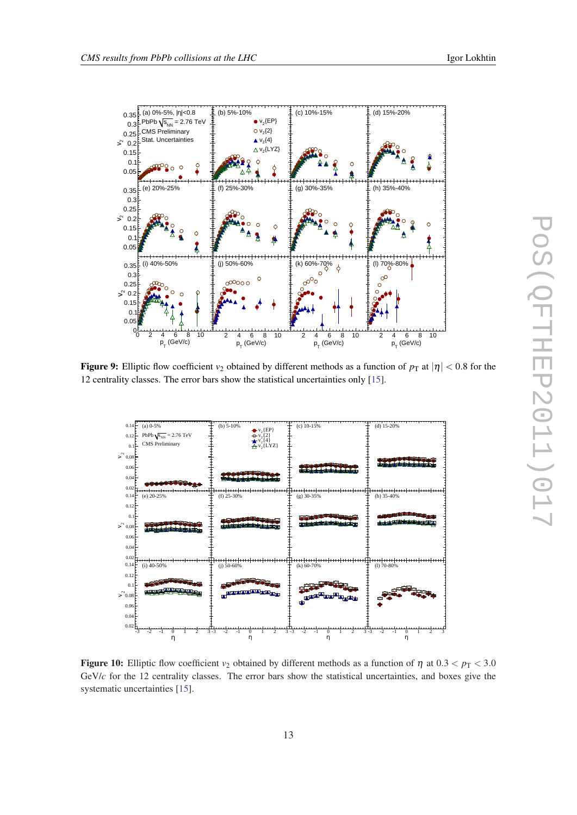<span id="page-12-0"></span>

Figure 9: Elliptic flow coefficient  $v_2$  obtained by different methods as a function of  $p_T$  at  $|\eta| < 0.8$  for the 12 centrality classes. The error bars show the statistical uncertainties only [\[15](#page-14-0)].



Figure 10: Elliptic flow coefficient  $v_2$  obtained by different methods as a function of  $\eta$  at  $0.3 < p_T < 3.0$ GeV/*c* for the 12 centrality classes. The error bars show the statistical uncertainties, and boxes give the systematic uncertainties [[15\]](#page-14-0).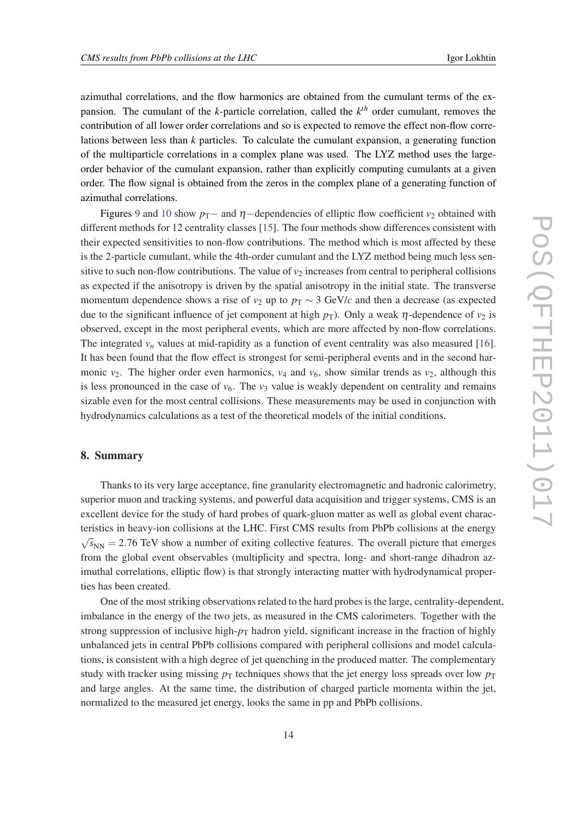azimuthal correlations, and the flow harmonics are obtained from the cumulant terms of the expansion. The cumulant of the *k*-particle correlation, called the *k th* order cumulant, removes the contribution of all lower order correlations and so is expected to remove the effect non-flow correlations between less than *k* particles. To calculate the cumulant expansion, a generating function of the multiparticle correlations in a complex plane was used. The LYZ method uses the largeorder behavior of the cumulant expansion, rather than explicitly computing cumulants at a given order. The flow signal is obtained from the zeros in the complex plane of a generating function of azimuthal correlations.

Figures [9](#page-12-0) and [10](#page-12-0) show  $p_T$ − and  $\eta$ −dependencies of elliptic flow coefficient  $v_2$  obtained with different methods for 12 centrality classes [[15\]](#page-14-0). The four methods show differences consistent with their expected sensitivities to non-flow contributions. The method which is most affected by these is the 2-particle cumulant, while the 4th-order cumulant and the LYZ method being much less sensitive to such non-flow contributions. The value of  $v_2$  increases from central to peripheral collisions as expected if the anisotropy is driven by the spatial anisotropy in the initial state. The transverse momentum dependence shows a rise of  $v_2$  up to  $p_T \sim 3$  GeV/*c* and then a decrease (as expected due to the significant influence of jet component at high  $p<sub>T</sub>$ ). Only a weak  $\eta$ -dependence of  $v<sub>2</sub>$  is observed, except in the most peripheral events, which are more affected by non-flow correlations. The integrated  $v_n$  values at mid-rapidity as a function of event centrality was also measured [[16\]](#page-14-0). It has been found that the flow effect is strongest for semi-peripheral events and in the second harmonic  $v_2$ . The higher order even harmonics,  $v_4$  and  $v_6$ , show similar trends as  $v_2$ , although this is less pronounced in the case of  $v_6$ . The  $v_3$  value is weakly dependent on centrality and remains sizable even for the most central collisions. These measurements may be used in conjunction with hydrodynamics calculations as a test of the theoretical models of the initial conditions.

#### 8. Summary

Thanks to its very large acceptance, fine granularity electromagnetic and hadronic calorimetry, superior muon and tracking systems, and powerful data acquisition and trigger systems, CMS is an excellent device for the study of hard probes of quark-gluon matter as well as global event characteristics in heavy-ion collisions at the LHC. First CMS results from PbPb collisions at the energy √  $\bar{s}_{NN} = 2.76$  TeV show a number of exiting collective features. The overall picture that emerges from the global event observables (multiplicity and spectra, long- and short-range dihadron azimuthal correlations, elliptic flow) is that strongly interacting matter with hydrodynamical properties has been created.

One of the most striking observations related to the hard probes is the large, centrality-dependent, imbalance in the energy of the two jets, as measured in the CMS calorimeters. Together with the strong suppression of inclusive high- $p<sub>T</sub>$  hadron yield, significant increase in the fraction of highly unbalanced jets in central PbPb collisions compared with peripheral collisions and model calculations, is consistent with a high degree of jet quenching in the produced matter. The complementary study with tracker using missing  $p<sub>T</sub>$  techniques shows that the jet energy loss spreads over low  $p<sub>T</sub>$ and large angles. At the same time, the distribution of charged particle momenta within the jet, normalized to the measured jet energy, looks the same in pp and PbPb collisions.